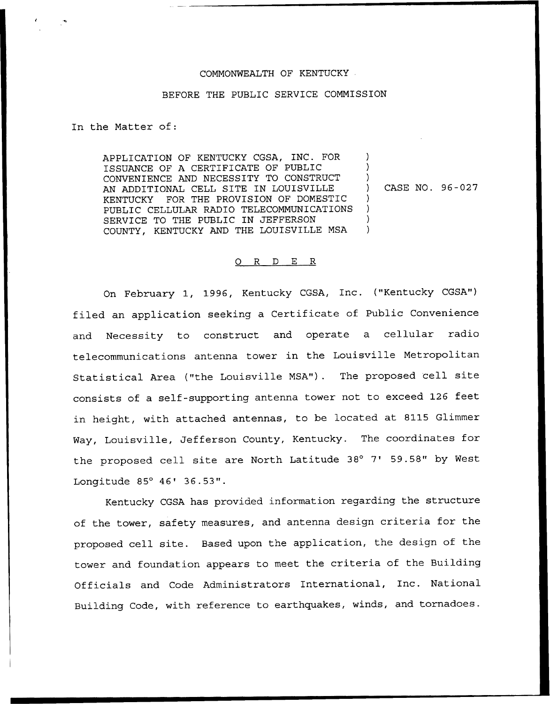## COMMONWEALTH OF KENTUCKY

## BEFORE THE PUBLIC SERVICE COMMISSION

In the Matter of:

APPLICATION OF KENTUCKY CGSA, INC. FOR ISSUANCE OF A CERTIFICATE OF PUBLIC CONVENIENCE AND NECESSITY TO CONSTRUCT AN ADDITIONAL CELL SITE IN LOUISVILLE KENTUCKY FOR THE PROVISION OF DOMESTIC PUBLIC CELLULAR RADIO TELECOMMUNICATIONS SERVICE TO THE PUBLIC IN JEFFERSON COUNTY, KENTUCKY AND THE LOUISVILLE MSA

) CASE NO. 96-027

) ) )

) ) ) )

## 0 R <sup>D</sup> E R

On February 1, 1996, Kentucky CGSA, Inc. ("Kentucky CGSA") filed an application seeking a Certificate of Public Convenience and Necessity to construct and operate a cellular radio telecommunications antenna tower in the Louisville Metropolitan Statistical Area ("the Louisville MSA"). The proposed cell site consists of a self-supporting antenna tower not to exceed 126 feet in height, with attached antennas, to be located at 8115 Glimmer Way, Louisville, Jefferson County, Kentucky. The coordinates for the proposed cell site are North Latitude 38° 7' 59.58" by West Longitude  $85^{\circ}$   $46'$   $36.53"$ .

Kentucky CGSA has provided information regarding the structure of the tower, safety measures, and antenna design criteria for the proposed cell site. Based upon the application, the design of the tower and foundation appears to meet the criteria of the Building Officials and Code Administrators International, Inc. National Building Code, with reference to earthquakes, winds, and tornadoes.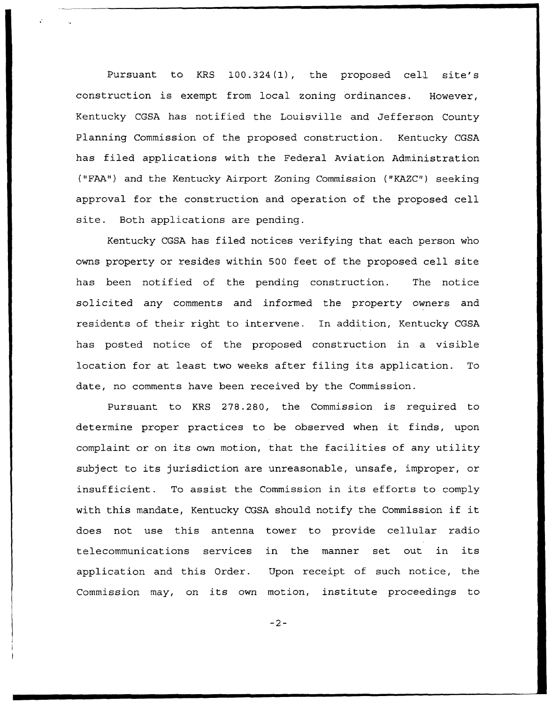Pursuant to KRS 100.324(1), the proposed cell site's construction is exempt from local zoning ordinances. However, Kentucky CGSA has notified the Louisville and Jefferson County Planning Commission of the proposed construction. Kentucky CGSA has filed applications with the Federal Aviation Administration ("FAA") and the Kentucky Airport Zoning Commission ("KAZC") seeking approval for the construction and operation of the proposed cell site. Both applications are pending.

Kentucky CGSA has filed notices verifying that each person who owns property or resides within 500 feet of the proposed cell site has been notified of the pending construction. The notice solicited any comments and informed the property owners and residents of their right to intervene. In addition, Kentucky CGSA has posted notice of the proposed construction in a visible location for at least two weeks after filing its application. To date, no comments have been received by the Commission.

Pursuant to KRS 278.280, the Commission is required to determine proper practices to be observed when it finds, upon complaint or on its own motion, that the facilities of any utility subject to its jurisdiction are unreasonable, unsafe, improper, or insufficient. To assist the Commission in its efforts to comply with this mandate, Kentucky CGSA should notify the Commission if it does not use this antenna tower to provide cellular radio telecommunications services in the manner set out in its application and this Order. Upon receipt of such notice, the Commission may, on its own motion, institute proceedings to

 $-2-$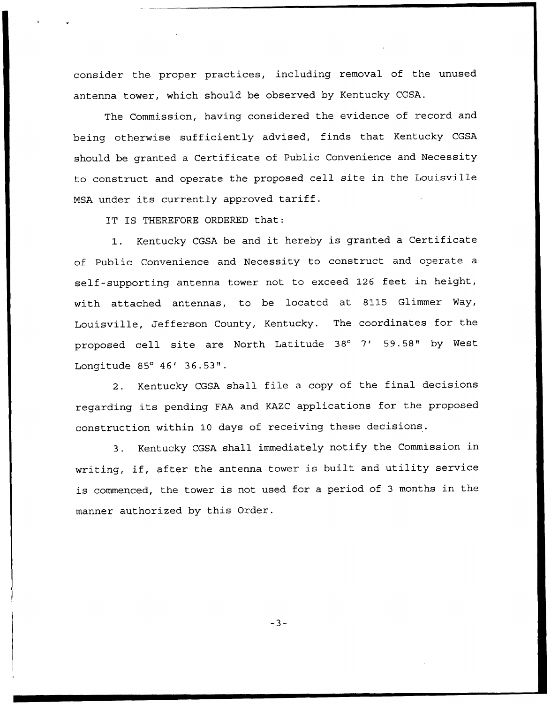consider the proper practices, including removal of the unused antenna tower, which should be observed by Kentucky CGSA.

The Commission, having considered the evidence of record and being otherwise sufficiently advised, finds that Kentucky CGSA should be granted a Certificate of Public Convenience and Necessity to construct and operate the proposed cell site in the Louisville MSA under its currently approved tariff.

IT IS THEREFORE ORDERED that:

1. Kentucky CGSA be and it hereby is granted <sup>a</sup> Certificate of Public Convenience and Necessity to construct and operate a self-supporting antenna tower not to exceed 126 feet in height, with attached antennas, to be located at 8115 Glimmer Way, Louisville, Jefferson County, Kentucky. The coordinates for the proposed cell site are North Latitude 38° 7' 59.58" by West Longitude 85° 46' 36.53".

2. Kentucky CGSA shall file <sup>a</sup> copy of the final decisions regarding its pending FAA and KAZC applications for the proposed construction within 10 days of receiving these decisions.

3. Kentucky CGSA shall immediately notify the Commission in writing, if, after the antenna tower is built and utility service is commenced, the tower is not used for a period of <sup>3</sup> months in the manner authorized by this Order.

 $-3-$